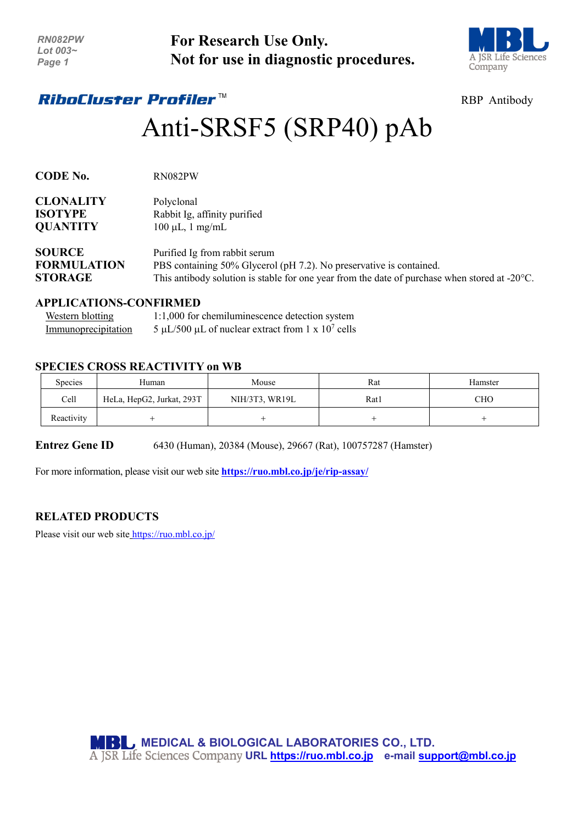| <b>RN082PW</b> |
|----------------|
| Lot 003~       |
| Page 1         |

**For Research Use Only. Not for use in diagnostic procedures.**



# *RiboCluster Profiler™*

# RBP Antibody

# Anti-SRSF5 (SRP40) pAb

| <b>CODE No.</b>    | RN082PW                                                                                                 |
|--------------------|---------------------------------------------------------------------------------------------------------|
| <b>CLONALITY</b>   | Polyclonal                                                                                              |
| <b>ISOTYPE</b>     | Rabbit Ig, affinity purified                                                                            |
| <b>QUANTITY</b>    | $100 \mu L$ , 1 mg/mL                                                                                   |
| <b>SOURCE</b>      | Purified Ig from rabbit serum                                                                           |
| <b>FORMULATION</b> | PBS containing 50% Glycerol (pH 7.2). No preservative is contained.                                     |
| <b>STORAGE</b>     | This antibody solution is stable for one year from the date of purchase when stored at $-20^{\circ}$ C. |

#### **APPLICATIONS-CONFIRMED**

| Western blotting    | 1:1,000 for chemiluminescence detection system                        |
|---------------------|-----------------------------------------------------------------------|
| Immunoprecipitation | $5 \mu L/500 \mu L$ of nuclear extract from 1 x 10 <sup>7</sup> cells |

### **SPECIES CROSS REACTIVITY on WB**

| Species    | Human                     | Mouse          | Rat  | Hamster |
|------------|---------------------------|----------------|------|---------|
| Cell       | HeLa, HepG2, Jurkat, 293T | NIH/3T3, WR19L | Rat1 | CHO.    |
| Reactivity |                           |                |      |         |

**Entrez Gene ID** 6430 (Human), 20384 (Mouse), 29667 (Rat), 100757287 (Hamster)

For more information, please visit our web site **<https://ruo.mbl.co.jp/je/rip-assay/>**

## **RELATED PRODUCTS**

Please visit our web site <https://ruo.mbl.co.jp/>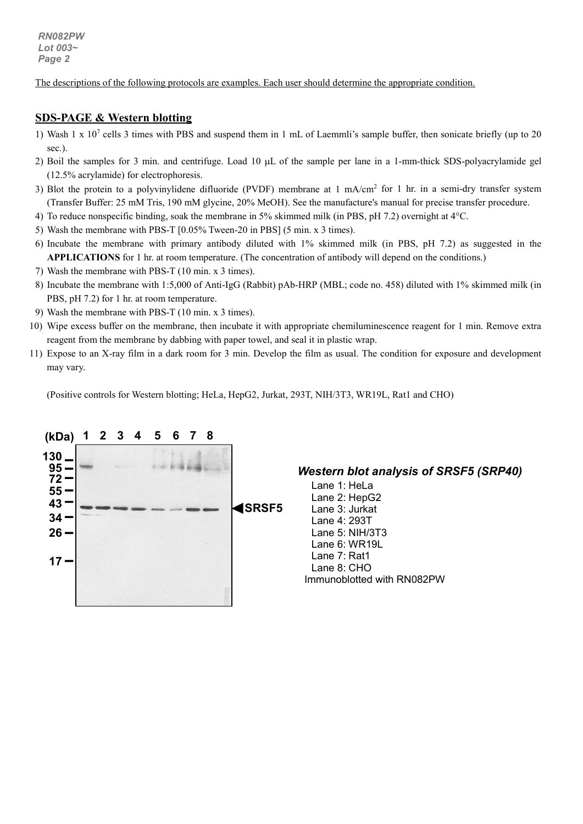*RN082PW Lot 003~ Page 2*

The descriptions of the following protocols are examples. Each user should determine the appropriate condition.

#### **SDS-PAGE & Western blotting**

- 1) Wash 1 x  $10<sup>7</sup>$  cells 3 times with PBS and suspend them in 1 mL of Laemmli's sample buffer, then sonicate briefly (up to 20 sec.).
- 2) Boil the samples for 3 min. and centrifuge. Load 10 µL of the sample per lane in a 1-mm-thick SDS-polyacrylamide gel (12.5% acrylamide) for electrophoresis.
- 3) Blot the protein to a polyvinylidene difluoride (PVDF) membrane at  $1 \text{ mA/cm}^2$  for  $1 \text{ hr}$  in a semi-dry transfer system (Transfer Buffer: 25 mM Tris, 190 mM glycine, 20% MeOH). See the manufacture's manual for precise transfer procedure.
- 4) To reduce nonspecific binding, soak the membrane in 5% skimmed milk (in PBS, pH 7.2) overnight at 4°C.
- 5) Wash the membrane with PBS-T [0.05% Tween-20 in PBS] (5 min. x 3 times).
- 6) Incubate the membrane with primary antibody diluted with 1% skimmed milk (in PBS, pH 7.2) as suggested in the **APPLICATIONS** for 1 hr. at room temperature. (The concentration of antibody will depend on the conditions.)
- 7) Wash the membrane with PBS-T (10 min. x 3 times).
- 8) Incubate the membrane with 1:5,000 of Anti-IgG (Rabbit) pAb-HRP (MBL; code no. 458) diluted with 1% skimmed milk (in PBS, pH 7.2) for 1 hr. at room temperature.
- 9) Wash the membrane with PBS-T (10 min. x 3 times).
- 10) Wipe excess buffer on the membrane, then incubate it with appropriate chemiluminescence reagent for 1 min. Remove extra reagent from the membrane by dabbing with paper towel, and seal it in plastic wrap.
- 11) Expose to an X-ray film in a dark room for 3 min. Develop the film as usual. The condition for exposure and development may vary.

(Positive controls for Western blotting; HeLa, HepG2, Jurkat, 293T, NIH/3T3, WR19L, Rat1 and CHO)